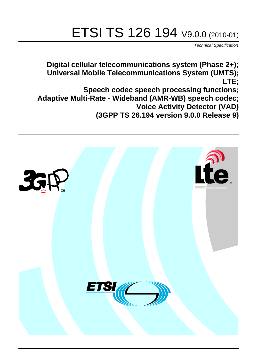# ETSI TS 126 194 V9.0.0 (2010-01)

*Technical Specification*

**Digital cellular telecommunications system (Phase 2+); Universal Mobile Telecommunications System (UMTS); LTE;**

**Speech codec speech processing functions; Adaptive Multi-Rate - Wideband (AMR-WB) speech codec; Voice Activity Detector (VAD) (3GPP TS 26.194 version 9.0.0 Release 9)**

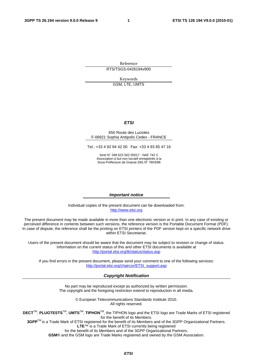Reference RTS/TSGS-0426194v900

Keywords

GSM, LTE, UMTS

#### *ETSI*

#### 650 Route des Lucioles F-06921 Sophia Antipolis Cedex - FRANCE

Tel.: +33 4 92 94 42 00 Fax: +33 4 93 65 47 16

Siret N° 348 623 562 00017 - NAF 742 C Association à but non lucratif enregistrée à la Sous-Préfecture de Grasse (06) N° 7803/88

#### *Important notice*

Individual copies of the present document can be downloaded from: [http://www.etsi.org](http://www.etsi.org/)

The present document may be made available in more than one electronic version or in print. In any case of existing or perceived difference in contents between such versions, the reference version is the Portable Document Format (PDF). In case of dispute, the reference shall be the printing on ETSI printers of the PDF version kept on a specific network drive within ETSI Secretariat.

Users of the present document should be aware that the document may be subject to revision or change of status. Information on the current status of this and other ETSI documents is available at <http://portal.etsi.org/tb/status/status.asp>

If you find errors in the present document, please send your comment to one of the following services: [http://portal.etsi.org/chaircor/ETSI\\_support.asp](http://portal.etsi.org/chaircor/ETSI_support.asp)

#### *Copyright Notification*

No part may be reproduced except as authorized by written permission. The copyright and the foregoing restriction extend to reproduction in all media.

> © European Telecommunications Standards Institute 2010. All rights reserved.

**DECT**TM, **PLUGTESTS**TM, **UMTS**TM, **TIPHON**TM, the TIPHON logo and the ETSI logo are Trade Marks of ETSI registered for the benefit of its Members.

**3GPP**TM is a Trade Mark of ETSI registered for the benefit of its Members and of the 3GPP Organizational Partners. **LTE**™ is a Trade Mark of ETSI currently being registered

for the benefit of its Members and of the 3GPP Organizational Partners.

**GSM**® and the GSM logo are Trade Marks registered and owned by the GSM Association.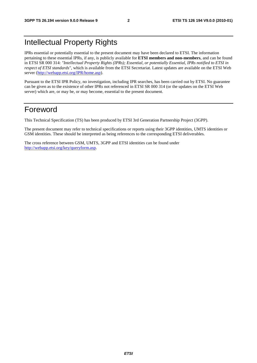### Intellectual Property Rights

IPRs essential or potentially essential to the present document may have been declared to ETSI. The information pertaining to these essential IPRs, if any, is publicly available for **ETSI members and non-members**, and can be found in ETSI SR 000 314: *"Intellectual Property Rights (IPRs); Essential, or potentially Essential, IPRs notified to ETSI in respect of ETSI standards"*, which is available from the ETSI Secretariat. Latest updates are available on the ETSI Web server [\(http://webapp.etsi.org/IPR/home.asp](http://webapp.etsi.org/IPR/home.asp)).

Pursuant to the ETSI IPR Policy, no investigation, including IPR searches, has been carried out by ETSI. No guarantee can be given as to the existence of other IPRs not referenced in ETSI SR 000 314 (or the updates on the ETSI Web server) which are, or may be, or may become, essential to the present document.

### Foreword

This Technical Specification (TS) has been produced by ETSI 3rd Generation Partnership Project (3GPP).

The present document may refer to technical specifications or reports using their 3GPP identities, UMTS identities or GSM identities. These should be interpreted as being references to the corresponding ETSI deliverables.

The cross reference between GSM, UMTS, 3GPP and ETSI identities can be found under [http://webapp.etsi.org/key/queryform.asp.](http://webapp.etsi.org/key/queryform.asp)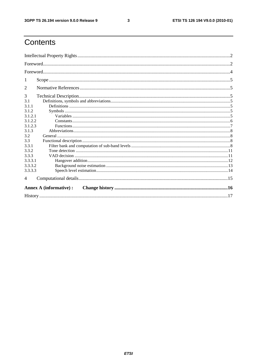$\mathbf{3}$ 

### Contents

| 1                       |  |  |  |  |
|-------------------------|--|--|--|--|
| 2                       |  |  |  |  |
| 3                       |  |  |  |  |
| 3.1                     |  |  |  |  |
| 3.1.1                   |  |  |  |  |
| 3.1.2                   |  |  |  |  |
| 3.1.2.1                 |  |  |  |  |
| 3.1.2.2                 |  |  |  |  |
| 3.1.2.3                 |  |  |  |  |
| 3.1.3                   |  |  |  |  |
| 3.2                     |  |  |  |  |
| 3.3                     |  |  |  |  |
| 3.3.1                   |  |  |  |  |
| 3.3.2                   |  |  |  |  |
| 3.3.3                   |  |  |  |  |
| 3.3.3.1                 |  |  |  |  |
| 3.3.3.2                 |  |  |  |  |
| 3.3.3.3                 |  |  |  |  |
| 4                       |  |  |  |  |
| Annex A (informative) : |  |  |  |  |
|                         |  |  |  |  |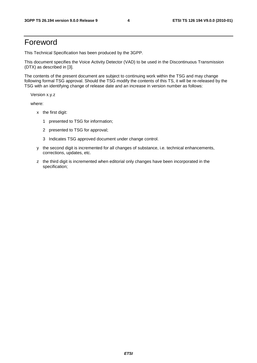### Foreword

This Technical Specification has been produced by the 3GPP.

This document specifies the Voice Activity Detector (VAD) to be used in the Discontinuous Transmission (DTX) as described in [3].

The contents of the present document are subject to continuing work within the TSG and may change following formal TSG approval. Should the TSG modify the contents of this TS, it will be re-released by the TSG with an identifying change of release date and an increase in version number as follows:

Version x.y.z

where:

- x the first digit:
	- 1 presented to TSG for information;
	- 2 presented to TSG for approval;
	- 3 Indicates TSG approved document under change control.
- y the second digit is incremented for all changes of substance, i.e. technical enhancements, corrections, updates, etc.
- z the third digit is incremented when editorial only changes have been incorporated in the specification;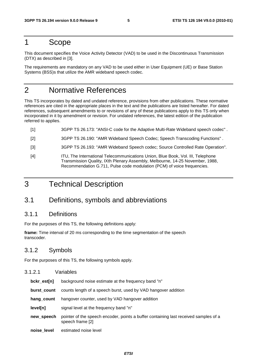### 1 Scope

This document specifies the Voice Activity Detector (VAD) to be used in the Discontinuous Transmission (DTX) as described in [3].

The requirements are mandatory on any VAD to be used either in User Equipment (UE) or Base Station Systems (BSS)s that utilize the AMR wideband speech codec.

### 2 Normative References

This TS incorporates by dated and undated reference, provisions from other publications. These normative references are cited in the appropriate places in the text and the publications are listed hereafter. For dated references, subsequent amendments to or revisions of any of these publications apply to this TS only when incorporated in it by amendment or revision. For undated references, the latest edition of the publication referred to applies.

- [1] 3GPP TS 26.173: "ANSI-C code for the Adaptive Multi-Rate Wideband speech codec" .
- [2] 3GPP TS 26.190: "AMR Wideband Speech Codec; Speech Transcoding Functions" .
- [3] 3GPP TS 26.193: "AMR Wideband Speech codec; Source Controlled Rate Operation".
- [4] ITU, The International Telecommunications Union, Blue Book, Vol. III, Telephone Transmission Quality, IXth Plenary Assembly, Melbourne, 14-25 November, 1988, Recommendation G.711, Pulse code modulation (PCM) of voice frequencies.
- 3 Technical Description

### 3.1 Definitions, symbols and abbreviations

### 3.1.1 Definitions

For the purposes of this TS, the following definitions apply:

**frame:** Time interval of 20 ms corresponding to the time segmentation of the speech transcoder.

### 3.1.2 Symbols

For the purposes of this TS, the following symbols apply.

| 3.1.2.1     | Variables                                                                                                |
|-------------|----------------------------------------------------------------------------------------------------------|
| bckr_est[n] | background noise estimate at the frequency band "n"                                                      |
| burst count | counts length of a speech burst, used by VAD hangover addition                                           |
| hang count  | hangover counter, used by VAD hangover addition                                                          |
| level[n]    | signal level at the frequency band "n"                                                                   |
| new_speech  | pointer of the speech encoder, points a buffer containing last received samples of a<br>speech frame [2] |
| noise level | estimated noise level                                                                                    |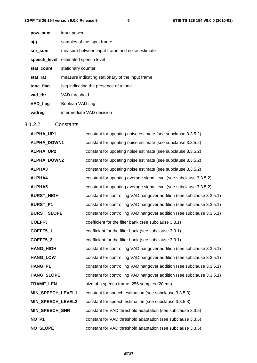| pow sum    | input power                                      |
|------------|--------------------------------------------------|
| s(i)       | samples of the input frame                       |
| snr sum    | measure between input frame and noise estimate   |
|            | speech_level estimated speech level              |
| stat_count | stationary counter                               |
| stat_rat   | measure indicating stationary of the input frame |
| tone_flag  | flag indicating the presence of a tone           |
| vad thr    | VAD threshold                                    |
| VAD_flag   | Boolean VAD flag                                 |
| vadreg     | intermediate VAD decision                        |

### 3.1.2.2 Constants

| ALPHA_UP1          | constant for updating noise estimate (see subclause 3.3.5.2)           |
|--------------------|------------------------------------------------------------------------|
| ALPHA_DOWN1        | constant for updating noise estimate (see subclause 3.3.5.2)           |
| ALPHA_UP2          | constant for updating noise estimate (see subclause 3.3.5.2)           |
| ALPHA_DOWN2        | constant for updating noise estimate (see subclause 3.3.5.2)           |
| ALPHA3             | constant for updating noise estimate (see subclause 3.3.5.2)           |
| ALPHA4             | constant for updating average signal level (see subclause 3.3.5.2)     |
| <b>ALPHA5</b>      | constant for updating average signal level (see subclause 3.3.5.2)     |
| <b>BURST_HIGH</b>  | constant for controlling VAD hangover addition (see subclause 3.3.5.1) |
| <b>BURST_P1</b>    | constant for controlling VAD hangover addition (see subclause 3.3.5.1) |
| <b>BURST_SLOPE</b> | constant for controlling VAD hangover addition (see subclause 3.3.5.1) |
| COEFF3             | coefficient for the filter bank (see subclause 3.3.1)                  |
| COEFF5_1           | coefficient for the filter bank (see subclause 3.3.1)                  |
| COEFF5_2           | coefficient for the filter bank (see subclause 3.3.1)                  |
| <b>HANG_HIGH</b>   | constant for controlling VAD hangover addition (see subclause 3.3.5.1) |
| <b>HANG_LOW</b>    | constant for controlling VAD hangover addition (see subclause 3.3.5.1) |
| HANG_P1            | constant for controlling VAD hangover addition (see subclause 3.3.5.1) |
| <b>HANG SLOPE</b>  | constant for controlling VAD hangover addition (see subclause 3.3.5.1) |
| <b>FRAME_LEN</b>   | size of a speech frame, 256 samples (20 ms)                            |
| MIN_SPEECH_LEVEL1  | constant for speech estimation (see subclause 3.3.5.3)                 |
| MIN_SPEECH_LEVEL2  | constant for speech estimation (see subclause 3.3.5.3)                 |
| MIN_SPEECH_SNR     | constant for VAD threshold adaptation (see subclause 3.3.5)            |
| NO P1              | constant for VAD threshold adaptation (see subclause 3.3.5)            |
| <b>NO SLOPE</b>    | constant for VAD threshold adaptation (see subclause 3.3.5)            |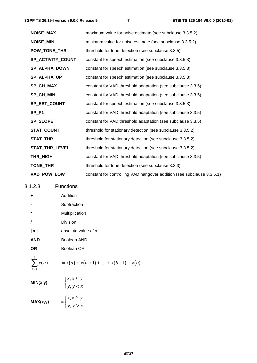| <b>NOISE_MAX</b>  | maximum value for noise estimate (see subclause 3.3.5.2)               |
|-------------------|------------------------------------------------------------------------|
| <b>NOISE_MIN</b>  | minimum value for noise estimate (see subclause 3.3.5.2)               |
| POW_TONE_THR      | threshold for tone detection (see subclause 3.3.5)                     |
| SP_ACTIVITY_COUNT | constant for speech estimation (see subclause 3.3.5.3)                 |
| SP_ALPHA_DOWN     | constant for speech estimation (see subclause 3.3.5.3)                 |
| SP_ALPHA_UP       | constant for speech estimation (see subclause 3.3.5.3)                 |
| SP_CH_MAX         | constant for VAD threshold adaptation (see subclause 3.3.5)            |
| SP_CH_MIN         | constant for VAD threshold adaptation (see subclause 3.3.5)            |
| SP_EST_COUNT      | constant for speech estimation (see subclause 3.3.5.3)                 |
| SP_P1             | constant for VAD threshold adaptation (see subclause 3.3.5)            |
| <b>SP_SLOPE</b>   | constant for VAD threshold adaptation (see subclause 3.3.5)            |
| STAT_COUNT        | threshold for stationary detection (see subclause 3.3.5.2)             |
| STAT_THR          | threshold for stationary detection (see subclause 3.3.5.2)             |
| STAT_THR_LEVEL    | threshold for stationary detection (see subclause 3.3.5.2)             |
| THR_HIGH          | constant for VAD threshold adaptation (see subclause 3.3.5)            |
| TONE_THR          | threshold for tone detection (see subclause 3.3.3)                     |
| VAD_POW_LOW       | constant for controlling VAD hangover addition (see subclause 3.3.5.1) |

3.1.2.3 Functions

**+** Addition

|          | Subtraction    |
|----------|----------------|
| ÷        | Multiplication |
| $\prime$ | Division       |

**| x |** absolute value of x

 $y, y < x$ 

**AND** Boolean AND

**OR** Boolean OR

$$
\sum_{n=a}^{b} x(n)
$$

$$
= x(a) + x(a+1) + \ldots + x(b-1) + x(b)
$$

$$
MIN(x,y) = \begin{cases} x, x \le y \\ y, y < x \end{cases}
$$

$$
\mathsf{MAX}(x,y) = \begin{cases} x, x \geq y \\ y, y > x \end{cases}
$$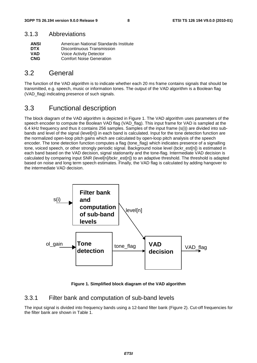### 3.1.3 Abbreviations

| <b>ANSI</b> | American National Standards Institute |
|-------------|---------------------------------------|
| <b>DTX</b>  | Discontinuous Transmission            |
| <b>VAD</b>  | Voice Activity Detector               |
| <b>CNG</b>  | <b>Comfort Noise Generation</b>       |

### 3.2 General

The function of the VAD algorithm is to indicate whether each 20 ms frame contains signals that should be transmitted, e.g. speech, music or information tones. The output of the VAD algorithm is a Boolean flag (VAD flag) indicating presence of such signals.

### 3.3 Functional description

The block diagram of the VAD algorithm is depicted in Figure 1. The VAD algorithm uses parameters of the speech encoder to compute the Boolean VAD flag (VAD flag). This input frame for VAD is sampled at the 6.4 kHz frequency and thus it contains 256 samples. Samples of the input frame (s(i)) are divided into subbands and level of the signal (level[n]) in each band is calculated. Input for the tone detection function are the normalized open-loop pitch gains which are calculated by open-loop pitch analysis of the speech encoder. The tone detection function computes a flag (tone\_flag) which indicates presence of a signalling tone, voiced speech, or other strongly periodic signal. Background noise level (bckr\_est[n]) is estimated in each band based on the VAD decision, signal stationarity and the tone-flag. Intermediate VAD decision is calculated by comparing input SNR (level[n]/bckr\_est[n]) to an adaptive threshold. The threshold is adapted based on noise and long term speech estimates. Finally, the VAD flag is calculated by adding hangover to the intermediate VAD decision.



**Figure 1. Simplified block diagram of the VAD algorithm** 

### 3.3.1 Filter bank and computation of sub-band levels

The input signal is divided into frequency bands using a 12-band filter bank (Figure 2). Cut-off frequencies for the filter bank are shown in Table 1.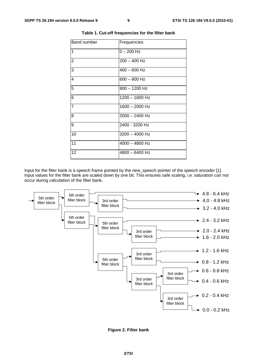| <b>Band number</b> | Frequencies      |
|--------------------|------------------|
| $\overline{1}$     | $0 - 200$ Hz     |
| $\overline{2}$     | $200 - 400$ Hz   |
| $\overline{3}$     | $400 - 600$ Hz   |
| $\overline{4}$     | $600 - 800$ Hz   |
| 5                  | $800 - 1200$ Hz  |
| $\overline{6}$     | $1200 - 1600$ Hz |
| $\overline{7}$     | $1600 - 2000$ Hz |
| $\overline{8}$     | $2000 - 2400$ Hz |
| $\overline{9}$     | 2400 - 3200 Hz   |
| 10                 | $3200 - 4000$ Hz |
| 11                 | $4000 - 4800$ Hz |
| 12                 | $4800 - 6400$ Hz |
|                    |                  |

#### **Table 1. Cut-off frequencies for the filter bank**

Input for the filter bank is a speech frame pointed by the new\_speech pointer of the speech encoder [1]. Input values for the filter bank are scaled down by one bit. This ensures safe scaling, i.e. saturation can not occur during calculation of the filter bank.



**Figure 2. Filter bank**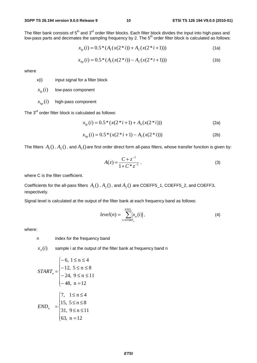The filter bank consists of  $5<sup>th</sup>$  and  $3<sup>rd</sup>$  order filter blocks. Each filter block divides the input into high-pass and low-pass parts and decimates the sampling frequency by 2. The 5<sup>th</sup> order filter block is calculated as follows:

$$
x_{lp}(i) = 0.5 * (A_1(x(2 * i)) + A_2(x(2 * i + 1)))
$$
\n(1a)

$$
x_{hp}(i) = 0.5 * (A_1(x(2 * i)) - A_2(x(2 * i + 1)))
$$
\n(1b)

where

x(i) input signal for a filter block

 $x_{i_n}(i)$  low-pass component

#### $x_{i_n}(i)$  high-pass component

The  $3^{rd}$  order filter block is calculated as follows:

$$
x_{lp}(i) = 0.5 * (x(2 * i + 1) + A_3(x(2 * i)))
$$
 (2a)

$$
x_{hp}(i) = 0.5 * (x(2 * i + 1) - A_3(x(2 * i)))
$$
 (2b)

The filters  $A_1$  (),  $A_2$  (), and  $A_3$  () are first order direct form all-pass filters, whose transfer function is given by:

$$
A(z) = \frac{C + z^{-1}}{1 + C * z^{-1}},
$$
\n(3)

where C is the filter coefficient.

Coefficients for the all-pass filters  $A_1()$ ,  $A_2()$ , and  $A_3()$  are COEFF5\_1, COEFF5\_2, and COEFF3, respectively.

Signal level is calculated at the output of the filter bank at each frequency band as follows:

$$
level(n) = \sum_{i=STATE_n}^{END_n} |x_n(i)|,
$$
\n(4)

where:

n index for the frequency band

 $x_n(i)$  sample i at the output of the filter bank at frequency band n

$$
START_n = \begin{cases}\n-6, 1 \le n \le 4 \\
-12, 5 \le n \le 8 \\
-24, 9 \le n \le 11 \\
-48, n = 12\n\end{cases}
$$
\n
$$
END_n = \begin{cases}\n7, 1 \le n \le 4 \\
15, 5 \le n \le 8 \\
31, 9 \le n \le 11 \\
63, n = 12\n\end{cases}
$$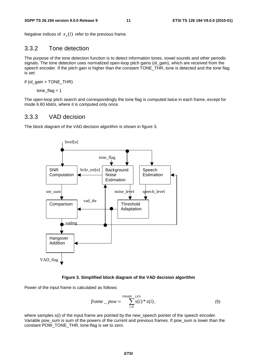Negative indices of  $x_n(i)$  refer to the previous frame.

### 3.3.2 Tone detection

The purpose of the tone detection function is to detect information tones, vowel sounds and other periodic signals. The tone detection uses normalized open-loop pitch gains (ol\_gain), which are received from the speech encoder. If the pitch gain is higher than the constant TONE\_THR, tone is detected and the tone flag is set:

if (ol\_gain > TONE\_THR)

tone  $flag = 1$ 

The open-loop pitch search and correspondingly the tone flag is computed twice in each frame, except for mode 6.60 kbit/s, where it is computed only once.

### 3.3.3 VAD decision

The block diagram of the VAD decision algorithm is shown in figure 3.



#### **Figure 3. Simplified block diagram of the VAD decision algorithm**

Power of the input frame is calculated as follows:

$$
frame\_pow = \sum_{i=0}^{FRAME\_LEN} s(i) * s(i), \qquad (5)
$$

where samples  $s(i)$  of the input frame are pointed by the new speech pointer of the speech encoder. Variable pow sum is sum of the powers of the current and previous frames. If pow sum is lower than the constant POW\_TONE\_THR, tone-flag is set to zero.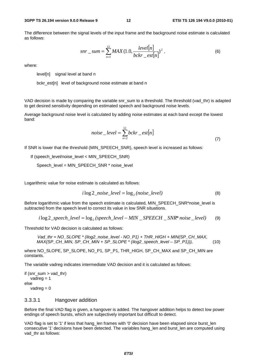The difference between the signal levels of the input frame and the background noise estimate is calculated as follows:

$$
snr\_sum = \sum_{n=1}^{12} MAX (1.0, \frac{level[n]}{bckr\_est[n]})^{2},
$$
 (6)

where:

level[n] signal level at band n

bckr\_est[n] level of background noise estimate at band n

VAD decision is made by comparing the variable snr\_sum to a threshold. The threshold (vad\_thr) is adapted to get desired sensitivity depending on estimated speech and background noise levels.

Average background noise level is calculated by adding noise estimates at each band except the lowest band:

$$
noise\_level = \sum_{n=2}^{12} bckr\_est[n]
$$
\n(7)

If SNR is lower that the threshold (MIN\_SPEECH\_SNR), speech level is increased as follows:

If (speech\_level/noise\_level < MIN\_SPEECH\_SNR)

Speech\_level = MIN\_SPEECH\_SNR \* noise\_level

Logarithmic value for noise estimate is calculated as follows:

$$
i \log 2\_noise\_level = \log_2(noise\_level)
$$
 (8)

Before logarithmic value from the speech estimate is calculated, MIN\_SPEECH\_SNR\*noise\_level is subtracted from the speech level to correct its value in low SNR situations.

$$
i \log 2\_speed\_level = \log_2 (speed\_level - MIN\_SPEECH\_SNR*noise\_level)
$$
 (9)

Threshold for VAD decision is calculated as follows:

*Vad\_thr = NO\_SLOPE \* (ilog2\_noise\_level - NO\_P1) + THR\_HIGH + MIN(SP\_CH\_MAX, MAX(SP\_CH\_MIN, SP\_CH\_MIN + SP\_SLOPE \* (ilog2\_speech\_level – SP\_P1))),* (10)

where NO\_SLOPE, SP\_SLOPE, NO\_P1, SP\_P1, THR\_HIGH, SP\_CH\_MAX and SP\_CH\_MIN are constants.

The variable vadreg indicates intermediate VAD decision and it is calculated as follows:

```
if (snr_sum > vad_thr) 
   vadreg = 1
else 
   vadreg = 0
```
#### 3.3.3.1 Hangover addition

Before the final VAD flag is given, a hangover is added. The hangover addition helps to detect low power endings of speech bursts, which are subjectively important but difficult to detect.

VAD flag is set to '1' if less that hang len frames with '0' decision have been elapsed since burst len consecutive '1' decisions have been detected. The variables hang\_len and burst\_len are computed using vad thr as follows: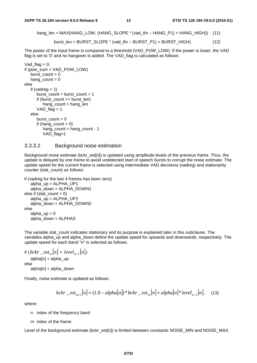hang\_len = MAX(HANG\_LOW, (HANG\_SLOPE \* (vad\_thr – HANG\_P1) + HANG\_HIGH)) (11)

$$
burst\_len = BURST\_SLOPE * (vad\_thr - BURST\_P1) + BURST\_HIGH)
$$
 (12)

The power of the input frame is compared to a threshold (VAD\_POW\_LOW). If the power is lower, the VAD flag is set to '0' and no hangover is added. The VAD flag is calculated as follows:

```
Vad flag = 0;
if (pow_sum < VAD_POW_LOW) 
   burst count = 0hang_count = 0else 
   if (vadreg = 1)
      burst_count = burst_count + 1
      if (burst_count >= burst_len) 
         hang_count = hang_len
      VAD_{1}flag = 1else 
      burst\_count = 0if (hang_count > 0)
         hang_count = hang_count - 1 
         VAD_flag=1
```
#### 3.3.3.2 Background noise estimation

Background noise estimate (bckr\_est[n]) is updated using amplitude levels of the previous frame. Thus, the update is delayed by one frame to avoid undetected start of speech bursts to corrupt the noise estimate. The update speed for the current frame is selected using intermediate VAD decisions (vadreg) and stationarity counter (stat\_count) as follows:

```
if (vadreg for the last 4 frames has been zero) 
  alpha_up = ALPHA_UP1 
   alpha_down = ALPHA_DOWN1 
else if (stat_count = 0)
  alpha_up = ALPHA_UP2 
  alpha_down = ALPHA_DOWN2 
else 
  alpha up = 0alpha_down = ALPHA3
```
The variable stat count indicates stationary and its purpose is explained later in this subclause. The variables alpha\_up and alpha\_down define the update speed for upwards and downwards, respectively. The update speed for each band "n" is selected as follows:

```
if (bckr _e est<sub>m</sub>[n] < level<sub>m−1</sub>[n])
    alpha[n] = alpha up
else 
    alpha[n] = alpha_down
```
Finally, noise estimate is updated as follows:

$$
bckr\_est_{m+1}[n] = (1.0 - alpha[n]) * bckr\_est_m[n] + alpha[n] * level_{m-1}[n],
$$
 (13)

where:

- n index of the frequency band
- m index of the frame

Level of the background estimate (bckr\_est[n]) is limited between constants NOISE\_MIN and NOISE\_MAX.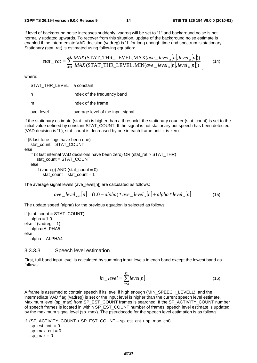If level of background noise increases suddenly, vadreg will be set to "1" and background noise is not normally updated upwards. To recover from this situation, update of the background noise estimate is enabled if the intermediate VAD decision (vadreg) is '1' for long enough time and spectrum is stationary. Stationary (stat\_rat) is estimated using following equation:

$$
stat\_rat = \sum_{n=1}^{12} \frac{MAX \, (\text{STAT\_THR\_LEVEL}, \text{MAX}(ave\_level_m[n], level_m[n]))}{MAX \, (\text{STAT\_THR\_LEVEL}, \text{MIN}(ave\_level_m[n], level_m[n]))}
$$
(14)

where:

STAT\_THR\_LEVEL a constant

n index of the frequency band

m index of the frame

ave level average level of the input signal

If the stationary estimate (stat rat) is higher than a threshold, the stationary counter (stat count) is set to the initial value defined by constant STAT\_COUNT. If the signal is not stationary but speech has been detected (VAD decision is '1'), stat count is decreased by one in each frame until it is zero.

if (5 last tone flags have been one) stat\_count = STAT\_COUNT else if (8 last internal VAD decisions have been zero) OR (stat\_rat > STAT\_THR) stat\_count = STAT\_COUNT else if (vadreg) AND (stat\_count  $\neq$  0)  $stat\_count = stat\_count - 1$ 

The average signal levels (ave level[n]) are calculated as follows:

$$
ave\_level_{m+1}[n] = (1.0 - alpha)*ave\_level_m[n] + alpha*level_m[n]
$$
\n(15)

The update speed (alpha) for the previous equation is selected as follows:

```
if (stat_count = STAT_COUNT) 
   alpha = 1.0else if (vadreg = 1)
   alpha=ALPHA5 
else 
  alpha = ALPHA4
```
#### 3.3.3.3 Speech level estimation

First, full-band input level is calculated by summing input levels in each band except the lowest band as follows:

$$
in\_level = \sum_{n=2}^{12} level[n]
$$
 (16)

A frame is assumed to contain speech if its level if high enough (MIN\_SPEECH\_LEVEL1), and the intermediate VAD flag (vadreg) is set or the input level is higher than the current speech level estimate. Maximum level (sp\_max) from SP\_EST\_COUNT frames is searched. If the SP\_ACTIVITY\_COUNT number of speech frames is located in within SP\_EST\_COUNT number of frames, speech level estimate is updated by the maximum signal level (sp\_max). The pseudocode for the speech level estimation is as follows:

If (SP\_ACTIVITY\_COUNT > SP\_EST\_COUNT – sp\_est\_cnt + sp\_max\_cnt)  $sp\_est\_cnt = 0$  $sp\_max\_cnt = 0$ sp $max = 0$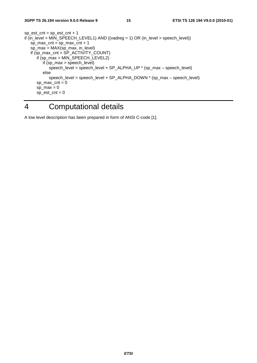$sp\_est\_cnt = sp\_est\_cnt + 1$ if (in\_level > MIN\_SPEECH\_LEVEL1) AND ((vadreg = 1) OR (in\_level > speech\_level))  $sp\_max\_cnt = sp\_max\_cnt + 1$  sp\_max = MAX(sp\_max, in\_level) if (sp\_max\_cnt > SP\_ACTIVITY\_COUNT) if (sp\_max > MIN\_SPEECH\_LEVEL2) if (sp\_max > speech\_level) speech\_level = speech\_level + SP\_ALPHA\_UP \* (sp\_max – speech\_level) else speech\_level = speech\_level + SP\_ALPHA\_DOWN \* (sp\_max – speech\_level)  $sp\_max\_cnt = 0$ sp $max = 0$  $sp\_est\_cnt = 0$ 

### 4 Computational details

A low level description has been prepared in form of ANSI C-code [1].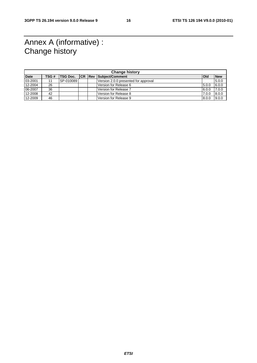### Annex A (informative) : Change history

| <b>Change history</b> |       |                 |                |  |                                      |              |            |
|-----------------------|-------|-----------------|----------------|--|--------------------------------------|--------------|------------|
| <b>Date</b>           | TSG # | <b>TSG Doc.</b> | <b>ICR Rev</b> |  | Subject/Comment                      | <b>l</b> Old | <b>New</b> |
| 03-2001               |       | SP-010089       |                |  | Version 2.0.0 presented for approval |              | 5.0.0      |
| 12-2004               | 26    |                 |                |  | Version for Release 6                | 5.0.0        | 6.0.0      |
| 06-2007               | 36    |                 |                |  | Version for Release 7                | 6.0.0        | 7.0.0      |
| 12-2008               | 42    |                 |                |  | Version for Release 8                | 7.0.0        | 8.0.0      |
| 12-2009               | 46    |                 |                |  | Version for Release 9                | 8.0.0        | 9.0.0      |